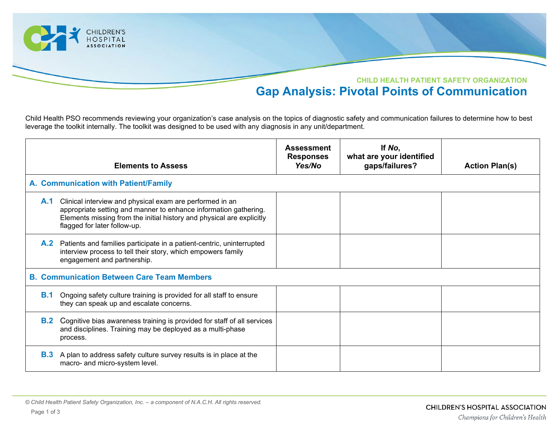

Child Health PSO recommends reviewing your organization's case analysis on the topics of diagnostic safety and communication failures to determine how to best leverage the toolkit internally. The toolkit was designed to be used with any diagnosis in any unit/department.

|            | <b>Elements to Assess</b>                                                                                                                                                                                                             | <b>Assessment</b><br><b>Responses</b><br>Yes/No | If No,<br>what are your identified<br>gaps/failures? | <b>Action Plan(s)</b> |  |  |  |
|------------|---------------------------------------------------------------------------------------------------------------------------------------------------------------------------------------------------------------------------------------|-------------------------------------------------|------------------------------------------------------|-----------------------|--|--|--|
|            | A. Communication with Patient/Family                                                                                                                                                                                                  |                                                 |                                                      |                       |  |  |  |
| A.1        | Clinical interview and physical exam are performed in an<br>appropriate setting and manner to enhance information gathering.<br>Elements missing from the initial history and physical are explicitly<br>flagged for later follow-up. |                                                 |                                                      |                       |  |  |  |
|            | A.2 Patients and families participate in a patient-centric, uninterrupted<br>interview process to tell their story, which empowers family<br>engagement and partnership.                                                              |                                                 |                                                      |                       |  |  |  |
|            | <b>B. Communication Between Care Team Members</b>                                                                                                                                                                                     |                                                 |                                                      |                       |  |  |  |
| <b>B.1</b> | Ongoing safety culture training is provided for all staff to ensure<br>they can speak up and escalate concerns.                                                                                                                       |                                                 |                                                      |                       |  |  |  |
| B.2        | Cognitive bias awareness training is provided for staff of all services<br>and disciplines. Training may be deployed as a multi-phase<br>process.                                                                                     |                                                 |                                                      |                       |  |  |  |
| B.3        | A plan to address safety culture survey results is in place at the<br>macro- and micro-system level.                                                                                                                                  |                                                 |                                                      |                       |  |  |  |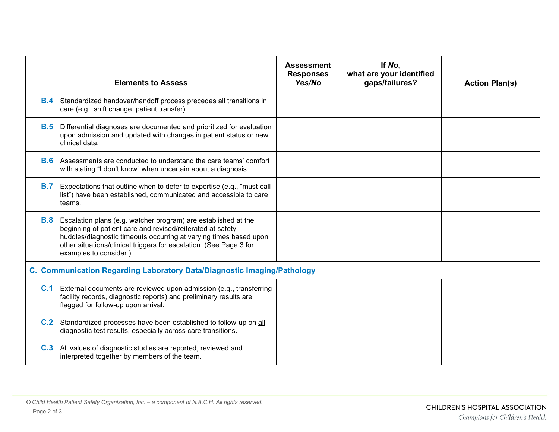|                                                                         | <b>Elements to Assess</b>                                                                                                                                                                                                                                                                                    | <b>Assessment</b><br><b>Responses</b><br>Yes/No | If No,<br>what are your identified<br>gaps/failures? | <b>Action Plan(s)</b> |  |  |
|-------------------------------------------------------------------------|--------------------------------------------------------------------------------------------------------------------------------------------------------------------------------------------------------------------------------------------------------------------------------------------------------------|-------------------------------------------------|------------------------------------------------------|-----------------------|--|--|
|                                                                         | <b>B.4</b> Standardized handover/handoff process precedes all transitions in<br>care (e.g., shift change, patient transfer).                                                                                                                                                                                 |                                                 |                                                      |                       |  |  |
|                                                                         | <b>B.5</b> Differential diagnoses are documented and prioritized for evaluation<br>upon admission and updated with changes in patient status or new<br>clinical data.                                                                                                                                        |                                                 |                                                      |                       |  |  |
|                                                                         | <b>B.6</b> Assessments are conducted to understand the care teams' comfort<br>with stating "I don't know" when uncertain about a diagnosis.                                                                                                                                                                  |                                                 |                                                      |                       |  |  |
| <b>B.7</b>                                                              | Expectations that outline when to defer to expertise (e.g., "must-call<br>list") have been established, communicated and accessible to care<br>teams.                                                                                                                                                        |                                                 |                                                      |                       |  |  |
|                                                                         | <b>B.8</b> Escalation plans (e.g. watcher program) are established at the<br>beginning of patient care and revised/reiterated at safety<br>huddles/diagnostic timeouts occurring at varying times based upon<br>other situations/clinical triggers for escalation. (See Page 3 for<br>examples to consider.) |                                                 |                                                      |                       |  |  |
| C. Communication Regarding Laboratory Data/Diagnostic Imaging/Pathology |                                                                                                                                                                                                                                                                                                              |                                                 |                                                      |                       |  |  |
|                                                                         | <b>C.1</b> External documents are reviewed upon admission (e.g., transferring<br>facility records, diagnostic reports) and preliminary results are<br>flagged for follow-up upon arrival.                                                                                                                    |                                                 |                                                      |                       |  |  |
|                                                                         | C.2 Standardized processes have been established to follow-up on all<br>diagnostic test results, especially across care transitions.                                                                                                                                                                         |                                                 |                                                      |                       |  |  |
|                                                                         | <b>C.3</b> All values of diagnostic studies are reported, reviewed and<br>interpreted together by members of the team.                                                                                                                                                                                       |                                                 |                                                      |                       |  |  |